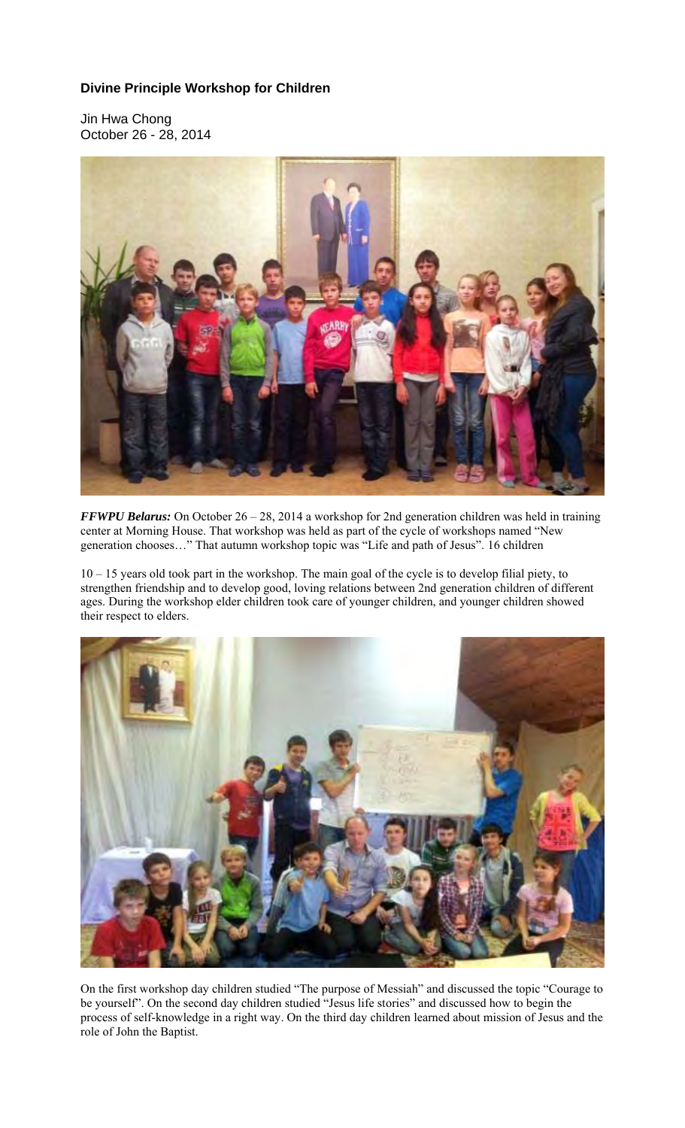## **Divine Principle Workshop for Children**

Jin Hwa Chong October 26 - 28, 2014



*FFWPU Belarus:* On October 26 – 28, 2014 a workshop for 2nd generation children was held in training center at Morning House. That workshop was held as part of the cycle of workshops named "New generation chooses…" That autumn workshop topic was "Life and path of Jesus". 16 children

10 – 15 years old took part in the workshop. The main goal of the cycle is to develop filial piety, to strengthen friendship and to develop good, loving relations between 2nd generation children of different ages. During the workshop elder children took care of younger children, and younger children showed their respect to elders.



On the first workshop day children studied "The purpose of Messiah" and discussed the topic "Courage to be yourself". On the second day children studied "Jesus life stories" and discussed how to begin the process of self-knowledge in a right way. On the third day children learned about mission of Jesus and the role of John the Baptist.